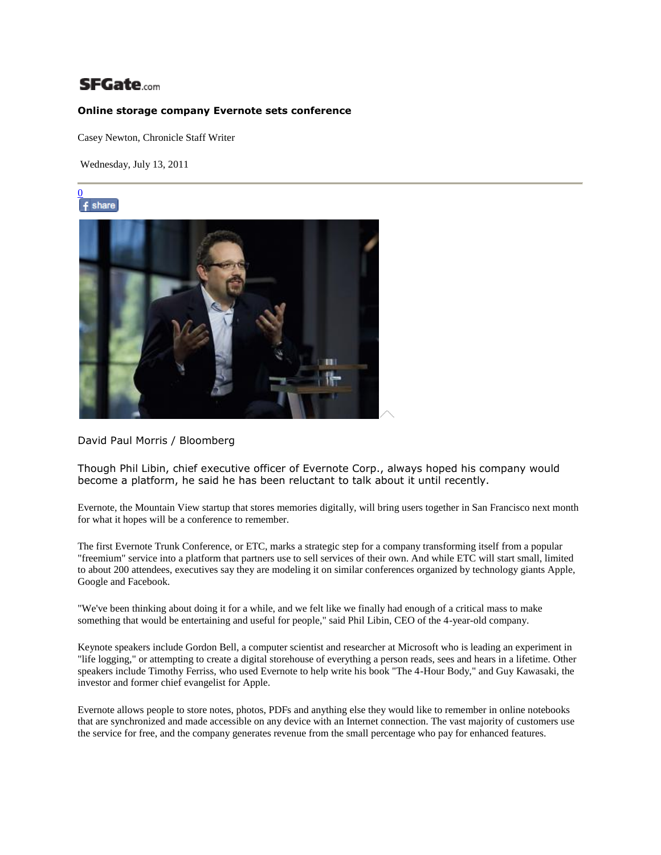## **SFGate**.com

## **Online storage company Evernote sets conference**

Casey Newton, Chronicle Staff Writer

Wednesday, July 13, 2011





## David Paul Morris / Bloomberg

Though Phil Libin, chief executive officer of Evernote Corp., always hoped his company would become a platform, he said he has been reluctant to talk about it until recently.

Evernote, the Mountain View startup that stores memories digitally, will bring users together in San Francisco next month for what it hopes will be a conference to remember.

The first Evernote Trunk Conference, or ETC, marks a strategic step for a company transforming itself from a popular "freemium" service into a platform that partners use to sell services of their own. And while ETC will start small, limited to about 200 attendees, executives say they are modeling it on similar conferences organized by technology giants Apple, Google and Facebook.

"We've been thinking about doing it for a while, and we felt like we finally had enough of a critical mass to make something that would be entertaining and useful for people," said Phil Libin, CEO of the 4-year-old company.

Keynote speakers include Gordon Bell, a computer scientist and researcher at Microsoft who is leading an experiment in "life logging," or attempting to create a digital storehouse of everything a person reads, sees and hears in a lifetime. Other speakers include Timothy Ferriss, who used Evernote to help write his book "The 4-Hour Body," and Guy Kawasaki, the investor and former chief evangelist for Apple.

Evernote allows people to store notes, photos, PDFs and anything else they would like to remember in online notebooks that are synchronized and made accessible on any device with an Internet connection. The vast majority of customers use the service for free, and the company generates revenue from the small percentage who pay for enhanced features.